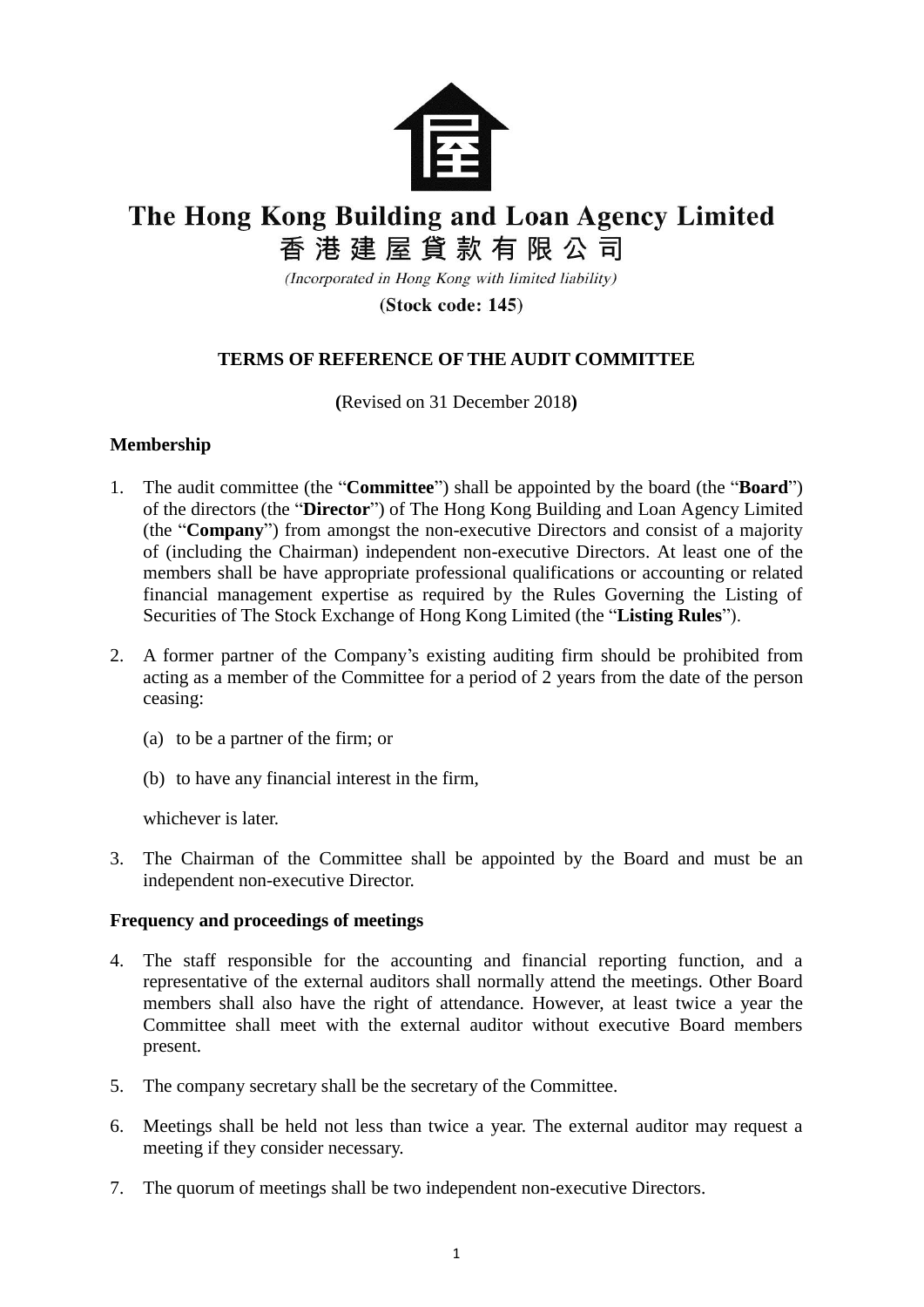

# The Hong Kong Building and Loan Agency Limited

香港建屋貸款有限公司

(Incorporated in Hong Kong with limited liability)

(Stock code: 145)

## **TERMS OF REFERENCE OF THE AUDIT COMMITTEE**

**(**Revised on 31 December 2018**)**

### **Membership**

- 1. The audit committee (the "**Committee**") shall be appointed by the board (the "**Board**") of the directors (the "**Director**") of The Hong Kong Building and Loan Agency Limited (the "**Company**") from amongst the non-executive Directors and consist of a majority of (including the Chairman) independent non-executive Directors. At least one of the members shall be have appropriate professional qualifications or accounting or related financial management expertise as required by the Rules Governing the Listing of Securities of The Stock Exchange of Hong Kong Limited (the "**Listing Rules**").
- 2. A former partner of the Company's existing auditing firm should be prohibited from acting as a member of the Committee for a period of 2 years from the date of the person ceasing:
	- (a) to be a partner of the firm; or
	- (b) to have any financial interest in the firm,

whichever is later.

3. The Chairman of the Committee shall be appointed by the Board and must be an independent non-executive Director.

## **Frequency and proceedings of meetings**

- 4. The staff responsible for the accounting and financial reporting function, and a representative of the external auditors shall normally attend the meetings. Other Board members shall also have the right of attendance. However, at least twice a year the Committee shall meet with the external auditor without executive Board members present.
- 5. The company secretary shall be the secretary of the Committee.
- 6. Meetings shall be held not less than twice a year. The external auditor may request a meeting if they consider necessary.
- 7. The quorum of meetings shall be two independent non-executive Directors.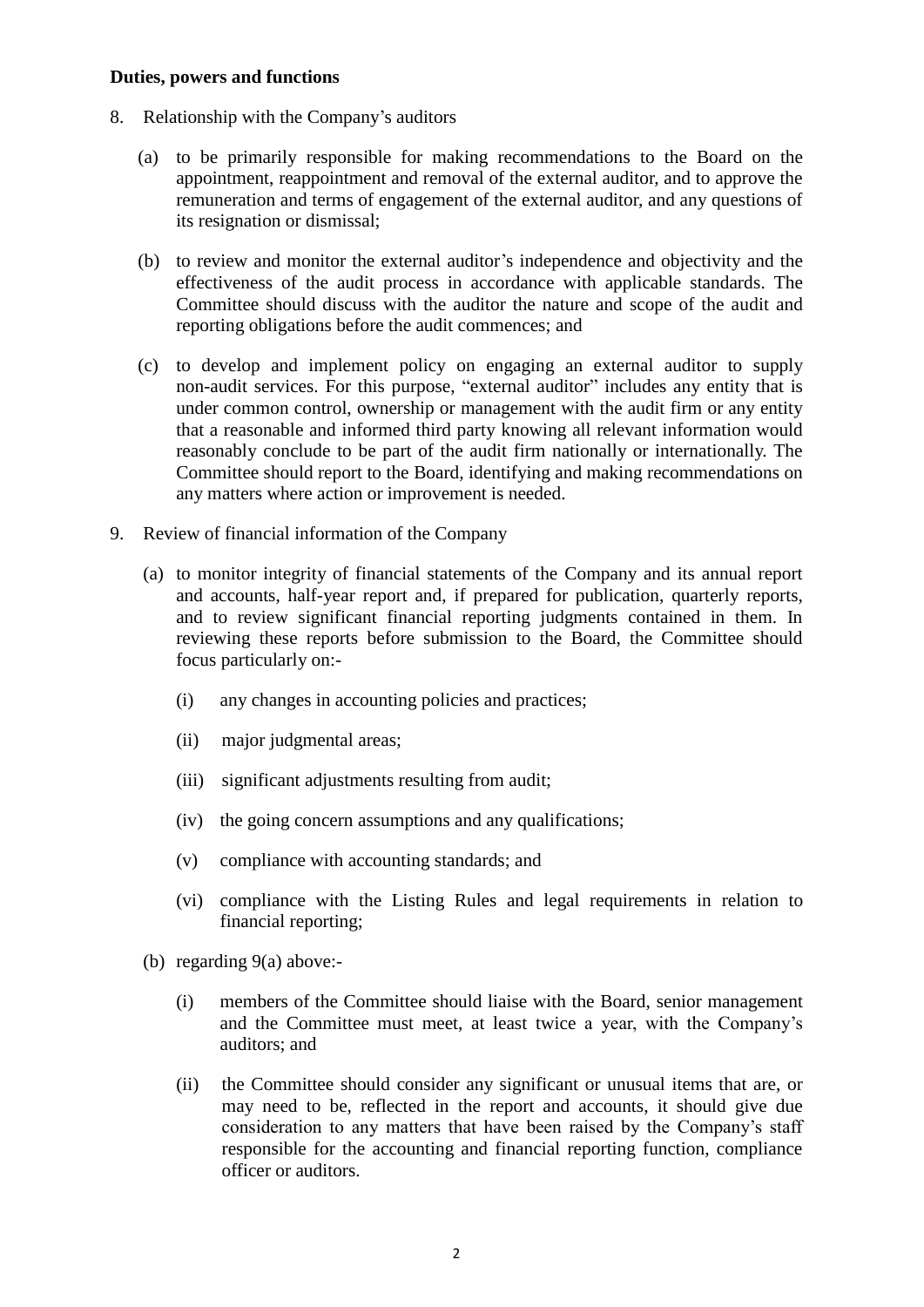#### **Duties, powers and functions**

- 8. Relationship with the Company's auditors
	- (a) to be primarily responsible for making recommendations to the Board on the appointment, reappointment and removal of the external auditor, and to approve the remuneration and terms of engagement of the external auditor, and any questions of its resignation or dismissal;
	- (b) to review and monitor the external auditor's independence and objectivity and the effectiveness of the audit process in accordance with applicable standards. The Committee should discuss with the auditor the nature and scope of the audit and reporting obligations before the audit commences; and
	- (c) to develop and implement policy on engaging an external auditor to supply non-audit services. For this purpose, "external auditor" includes any entity that is under common control, ownership or management with the audit firm or any entity that a reasonable and informed third party knowing all relevant information would reasonably conclude to be part of the audit firm nationally or internationally. The Committee should report to the Board, identifying and making recommendations on any matters where action or improvement is needed.
- 9. Review of financial information of the Company
	- (a) to monitor integrity of financial statements of the Company and its annual report and accounts, half-year report and, if prepared for publication, quarterly reports, and to review significant financial reporting judgments contained in them. In reviewing these reports before submission to the Board, the Committee should focus particularly on:-
		- (i) any changes in accounting policies and practices;
		- (ii) major judgmental areas;
		- (iii) significant adjustments resulting from audit;
		- (iv) the going concern assumptions and any qualifications;
		- (v) compliance with accounting standards; and
		- (vi) compliance with the Listing Rules and legal requirements in relation to financial reporting;
	- (b) regarding 9(a) above:-
		- (i) members of the Committee should liaise with the Board, senior management and the Committee must meet, at least twice a year, with the Company's auditors; and
		- (ii) the Committee should consider any significant or unusual items that are, or may need to be, reflected in the report and accounts, it should give due consideration to any matters that have been raised by the Company's staff responsible for the accounting and financial reporting function, compliance officer or auditors.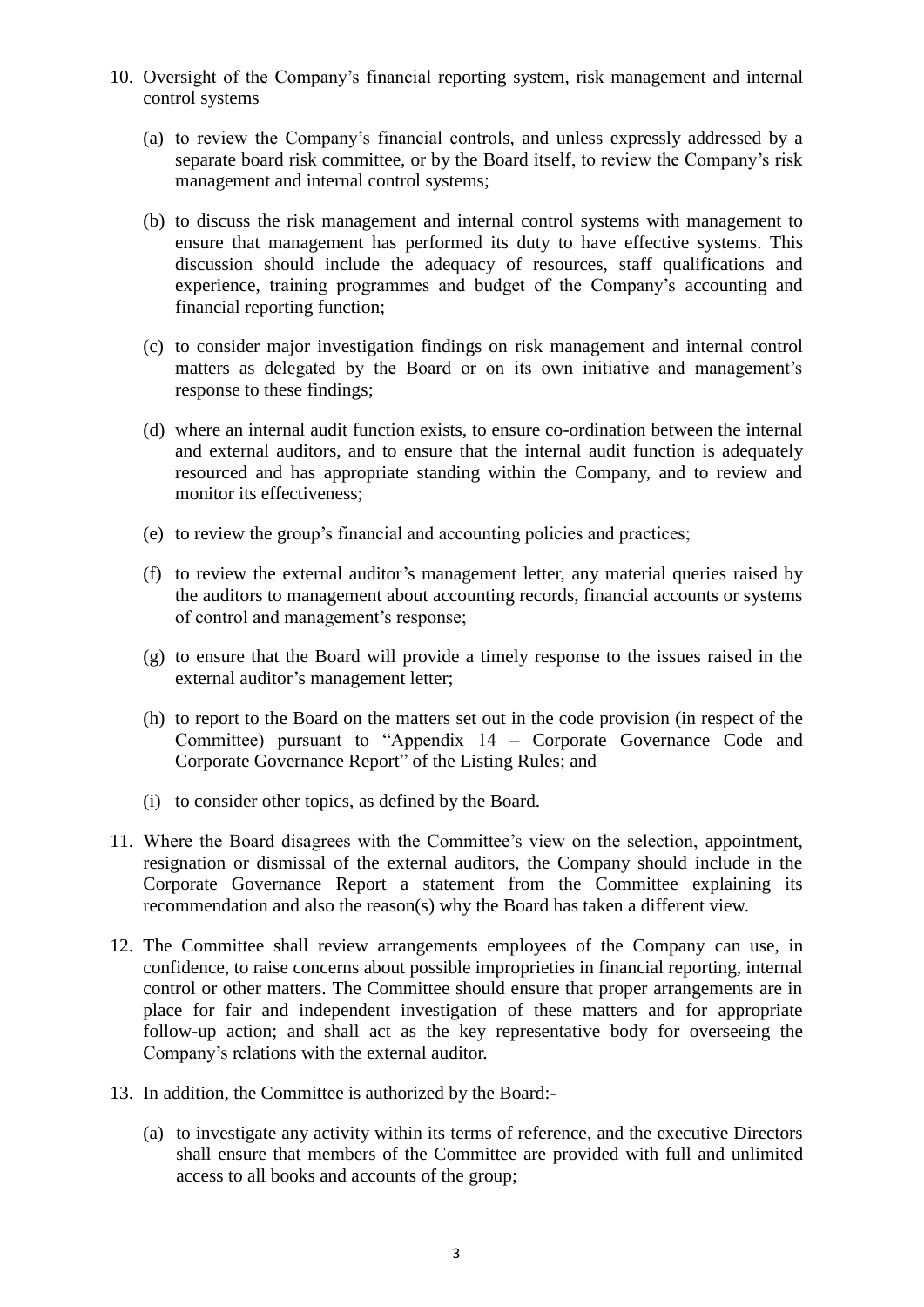- 10. Oversight of the Company's financial reporting system, risk management and internal control systems
	- (a) to review the Company's financial controls, and unless expressly addressed by a separate board risk committee, or by the Board itself, to review the Company's risk management and internal control systems;
	- (b) to discuss the risk management and internal control systems with management to ensure that management has performed its duty to have effective systems. This discussion should include the adequacy of resources, staff qualifications and experience, training programmes and budget of the Company's accounting and financial reporting function;
	- (c) to consider major investigation findings on risk management and internal control matters as delegated by the Board or on its own initiative and management's response to these findings;
	- (d) where an internal audit function exists, to ensure co-ordination between the internal and external auditors, and to ensure that the internal audit function is adequately resourced and has appropriate standing within the Company, and to review and monitor its effectiveness;
	- (e) to review the group's financial and accounting policies and practices;
	- (f) to review the external auditor's management letter, any material queries raised by the auditors to management about accounting records, financial accounts or systems of control and management's response;
	- (g) to ensure that the Board will provide a timely response to the issues raised in the external auditor's management letter;
	- (h) to report to the Board on the matters set out in the code provision (in respect of the Committee) pursuant to "Appendix 14 – Corporate Governance Code and Corporate Governance Report" of the Listing Rules; and
	- (i) to consider other topics, as defined by the Board.
- 11. Where the Board disagrees with the Committee's view on the selection, appointment, resignation or dismissal of the external auditors, the Company should include in the Corporate Governance Report a statement from the Committee explaining its recommendation and also the reason(s) why the Board has taken a different view.
- 12. The Committee shall review arrangements employees of the Company can use, in confidence, to raise concerns about possible improprieties in financial reporting, internal control or other matters. The Committee should ensure that proper arrangements are in place for fair and independent investigation of these matters and for appropriate follow-up action; and shall act as the key representative body for overseeing the Company's relations with the external auditor.
- 13. In addition, the Committee is authorized by the Board:-
	- (a) to investigate any activity within its terms of reference, and the executive Directors shall ensure that members of the Committee are provided with full and unlimited access to all books and accounts of the group;